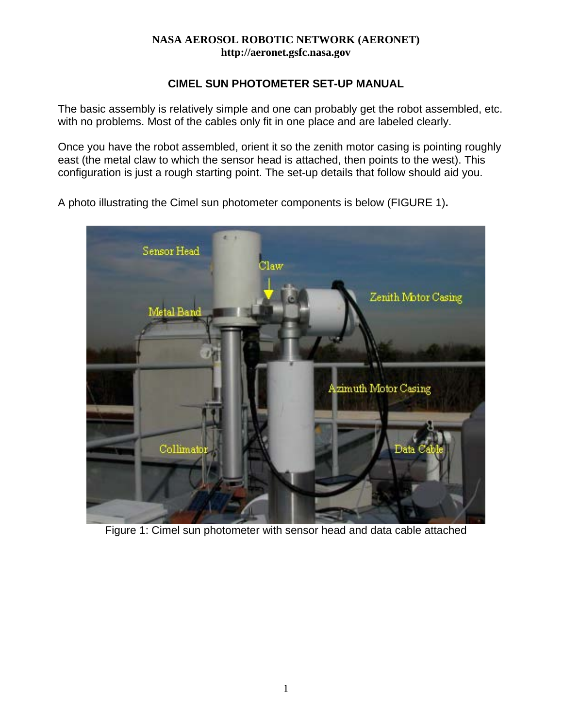## **CIMEL SUN PHOTOMETER SET-UP MANUAL**

The basic assembly is relatively simple and one can probably get the robot assembled, etc. with no problems. Most of the cables only fit in one place and are labeled clearly.

Once you have the robot assembled, orient it so the zenith motor casing is pointing roughly east (the metal claw to which the sensor head is attached, then points to the west). This configuration is just a rough starting point. The set-up details that follow should aid you.

A photo illustrating the Cimel sun photometer components is below (FIGURE 1)**.** 



Figure 1: Cimel sun photometer with sensor head and data cable attached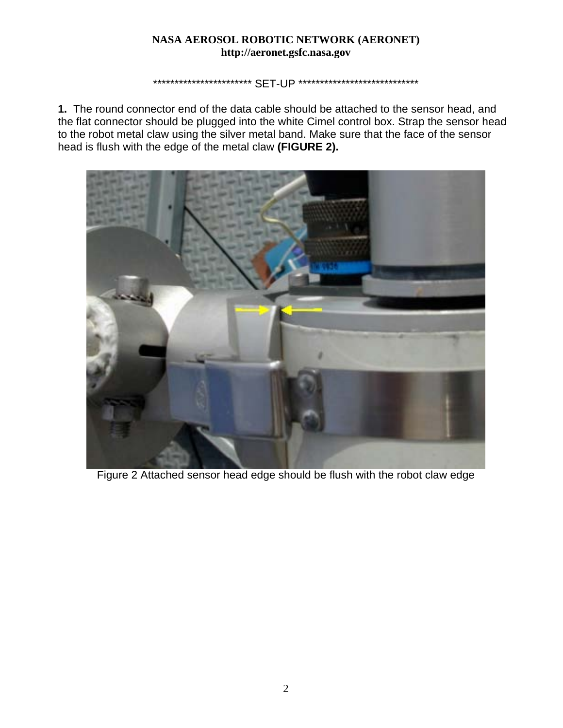\*\*\*\*\*\*\*\*\*\*\*\*\*\*\*\*\*\*\*\*\*\*\* SET-UP \*\*\*\*\*\*\*\*\*\*\*\*\*\*\*\*\*\*\*\*\*\*\*\*\*\*\*\*

**1.** The round connector end of the data cable should be attached to the sensor head, and the flat connector should be plugged into the white Cimel control box. Strap the sensor head to the robot metal claw using the silver metal band. Make sure that the face of the sensor head is flush with the edge of the metal claw **(FIGURE 2).** 



Figure 2 Attached sensor head edge should be flush with the robot claw edge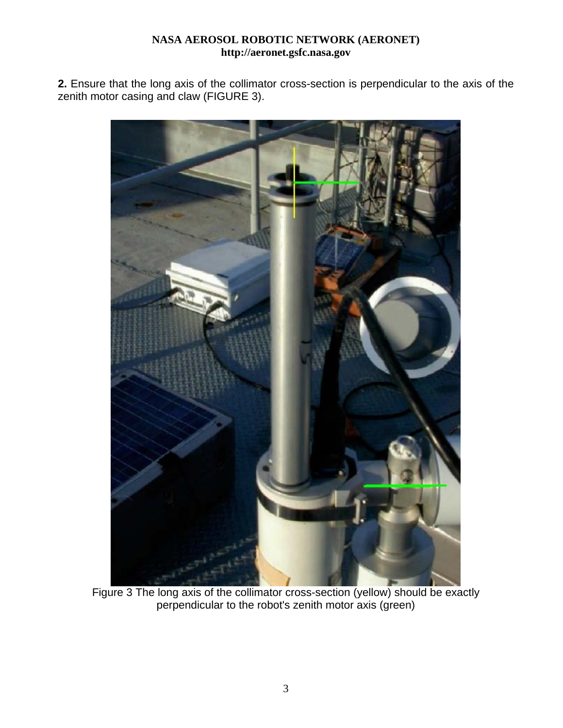**2.** Ensure that the long axis of the collimator cross-section is perpendicular to the axis of the zenith motor casing and claw (FIGURE 3).



Figure 3 The long axis of the collimator cross-section (yellow) should be exactly perpendicular to the robot's zenith motor axis (green)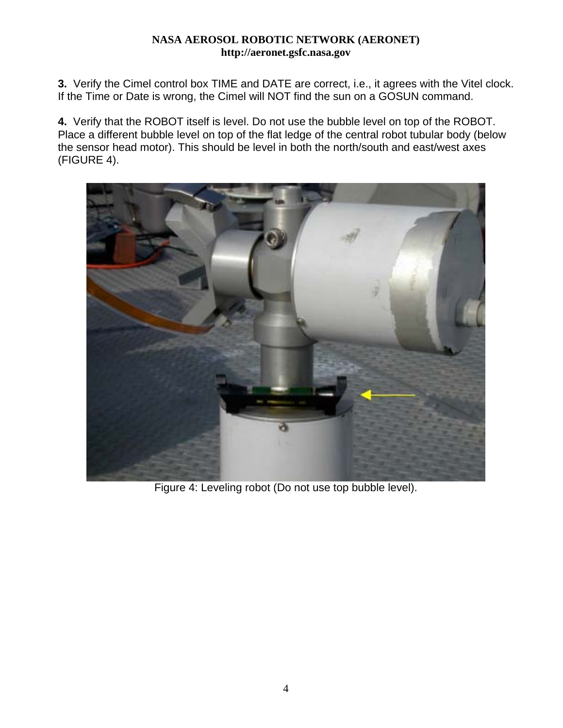**3.** Verify the Cimel control box TIME and DATE are correct, i.e., it agrees with the Vitel clock. If the Time or Date is wrong, the Cimel will NOT find the sun on a GOSUN command.

**4.** Verify that the ROBOT itself is level. Do not use the bubble level on top of the ROBOT. Place a different bubble level on top of the flat ledge of the central robot tubular body (below the sensor head motor). This should be level in both the north/south and east/west axes (FIGURE 4).



Figure 4: Leveling robot (Do not use top bubble level).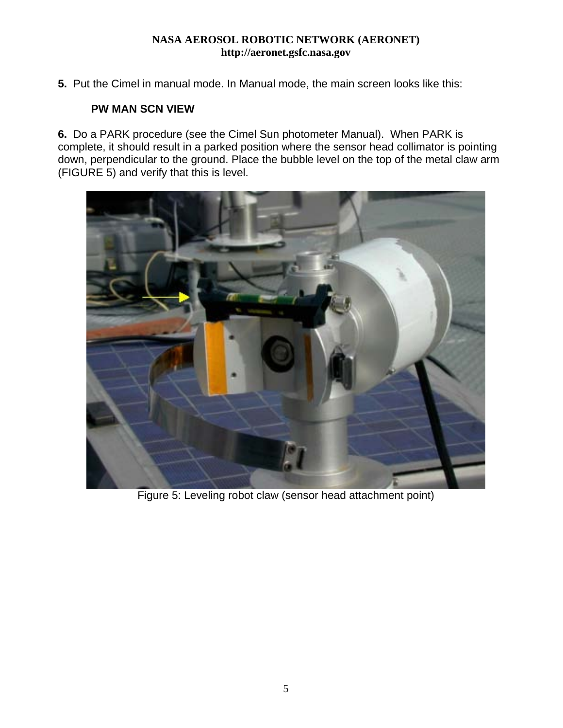**5.** Put the Cimel in manual mode. In Manual mode, the main screen looks like this:

## **PW MAN SCN VIEW**

**6.** Do a PARK procedure (see the Cimel Sun photometer Manual). When PARK is complete, it should result in a parked position where the sensor head collimator is pointing down, perpendicular to the ground. Place the bubble level on the top of the metal claw arm (FIGURE 5) and verify that this is level.



Figure 5: Leveling robot claw (sensor head attachment point)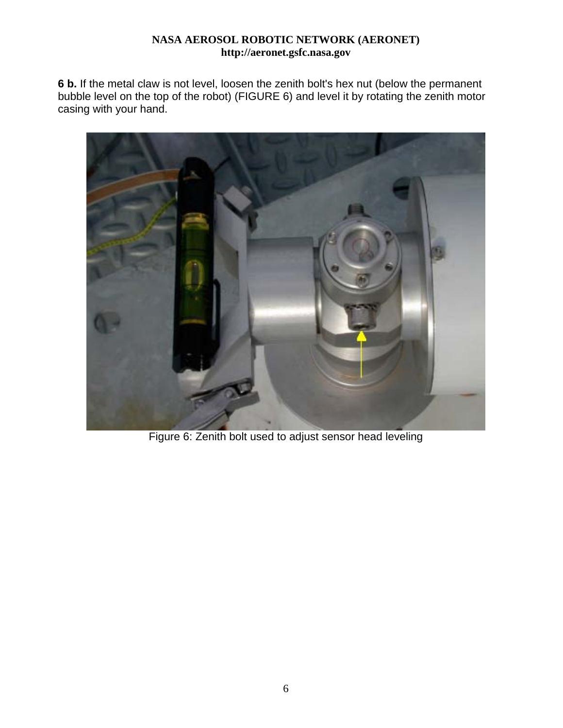**6 b.** If the metal claw is not level, loosen the zenith bolt's hex nut (below the permanent bubble level on the top of the robot) (FIGURE 6) and level it by rotating the zenith motor casing with your hand.



Figure 6: Zenith bolt used to adjust sensor head leveling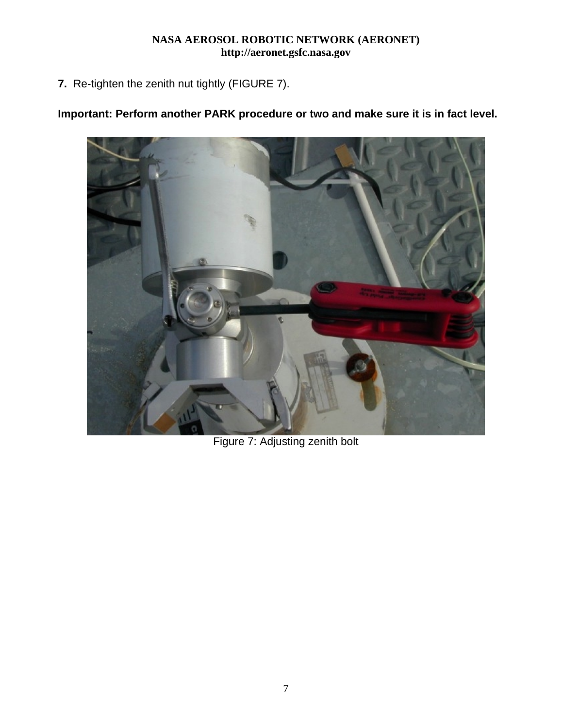**7.** Re-tighten the zenith nut tightly (FIGURE 7).

# **Important: Perform another PARK procedure or two and make sure it is in fact level.**



Figure 7: Adjusting zenith bolt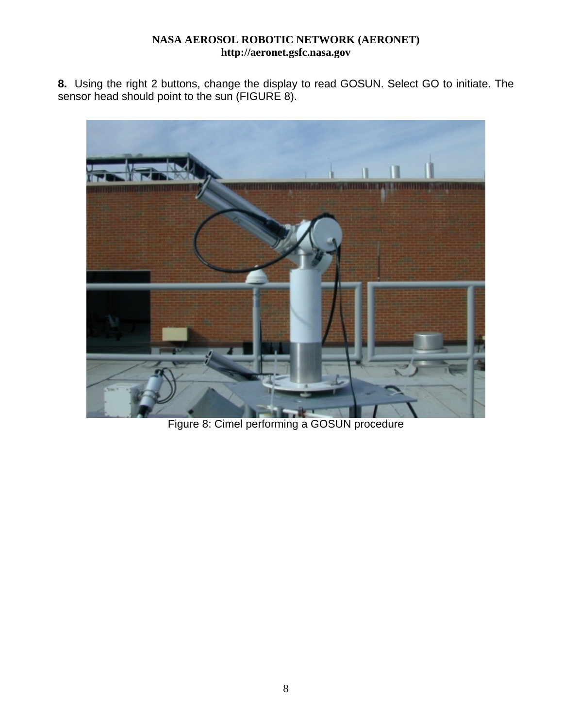**8.** Using the right 2 buttons, change the display to read GOSUN. Select GO to initiate. The sensor head should point to the sun (FIGURE 8).



Figure 8: Cimel performing a GOSUN procedure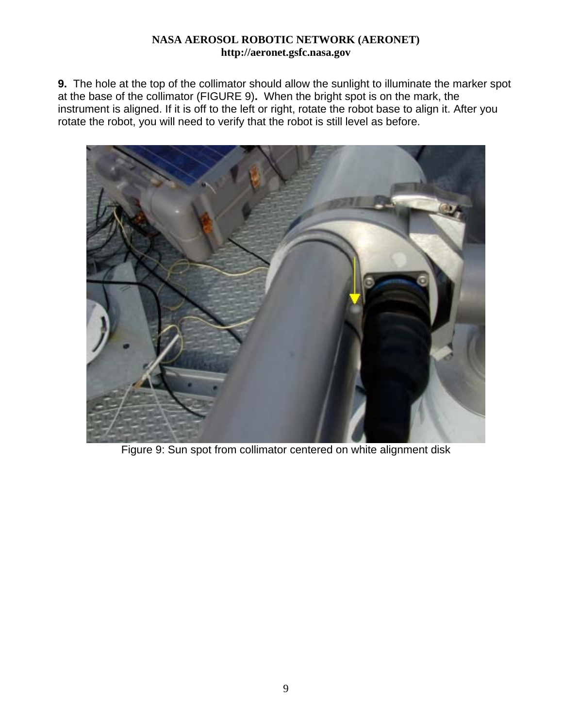**9.** The hole at the top of the collimator should allow the sunlight to illuminate the marker spot at the base of the collimator (FIGURE 9)**.** When the bright spot is on the mark, the instrument is aligned. If it is off to the left or right, rotate the robot base to align it. After you rotate the robot, you will need to verify that the robot is still level as before.



Figure 9: Sun spot from collimator centered on white alignment disk